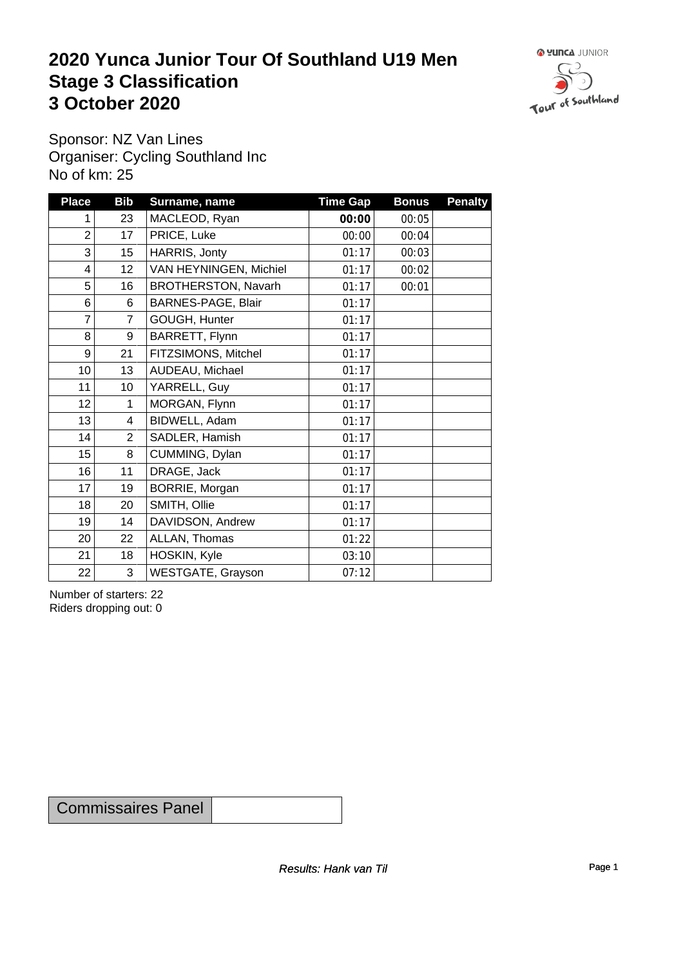## **2020 Yunca Junior Tour Of Southland U19 Men** Stage 3 Classification<br>
3 October 2020 **3 October 2020**



Sponsor: NZ Van Lines Organiser: Cycling Southland Inc No of km: 25

| <b>Place</b>    | <b>Bib</b>       | Surname, name          | <b>Time Gap</b> | <b>Bonus</b> | <b>Penalty</b> |
|-----------------|------------------|------------------------|-----------------|--------------|----------------|
| 1               | 23               | MACLEOD, Ryan          | 00:00           | 00:05        |                |
| $\overline{2}$  | 17               | PRICE, Luke            | 00:00           | 00:04        |                |
| 3               | 15 <sub>15</sub> | HARRIS, Jonty          | 01:17           | 00:03        |                |
| 4               | 12 <sub>2</sub>  | VAN HEYNINGEN, Michiel | 01:17           | 00:02        |                |
| 5               | 16               | BROTHERSTON, Navarh    | 01:17           | 00:01        |                |
| 6               | 6                | BARNES-PAGE, Blair     | 01:17           |              |                |
| $\overline{7}$  | $\overline{7}$   | GOUGH, Hunter          | 01:17           |              |                |
| 8               | 9                | BARRETT, Flynn         | 01:17           |              |                |
| 9               | 21               | FITZSIMONS, Mitchel    | 01:17           |              |                |
| 10              | 13               | AUDEAU, Michael        | 01:17           |              |                |
| 11              | 10               | YARRELL, Guy           | 01:17           |              |                |
| 12              | 1                | MORGAN, Flynn          | 01:17           |              |                |
| 13              | 4                | BIDWELL, Adam          | 01:17           |              |                |
| 14              | $\overline{2}$   | SADLER, Hamish         | 01:17           |              |                |
| 15              | 8                | CUMMING, Dylan         | 01:17           |              |                |
| 16              | 11               | DRAGE, Jack            | 01:17           |              |                |
| 17              | 19               | BORRIE, Morgan         | 01:17           |              |                |
| 18              | 20               | SMITH, Ollie           | 01:17           |              |                |
| 19              | 14               | DAVIDSON, Andrew       | 01:17           |              |                |
| 20 <sup>°</sup> | 22               | ALLAN, Thomas          | 01:22           |              |                |
| 21              | 18               | HOSKIN, Kyle           | 03:10           |              |                |
| 22              | 3                | WESTGATE, Grayson      | 07:12           |              |                |

Number of starters: 22 Riders dropping out: 0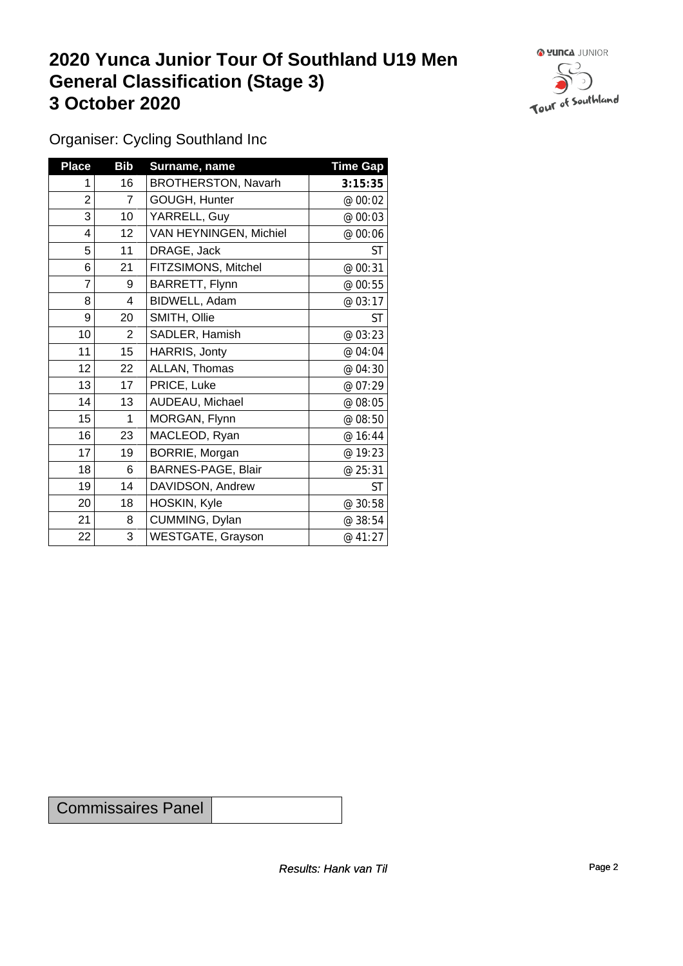## **2020 Yunca Junior Tour Of Southland U19 Men General Classification (Stage 3)**<br> **3 October 2020 3 October 2020**



Organiser: Cycling Southland Inc

| <b>Place</b>   | <b>Bib</b>      | Surname, name            | <b>Time Gap</b> |
|----------------|-----------------|--------------------------|-----------------|
| 1              | 16              | BROTHERSTON, Navarh      | 3:15:35         |
| $\overline{c}$ | $\overline{7}$  | GOUGH, Hunter            | @ 00:02         |
| 3              | 10 <sup>1</sup> | YARRELL, Guy             | @ 00:03         |
| 4              | 12              | VAN HEYNINGEN, Michiel   | @ 00:06         |
| 5              | 11              | DRAGE, Jack              | ST              |
| 6              | 21              | FITZSIMONS, Mitchel      | @ 00:31         |
| 7              | 9               | BARRETT, Flynn           | @ 00:55         |
| $\bf 8$        | 4               | BIDWELL, Adam            | @ 03:17         |
| 9              | 20              | SMITH, Ollie             | <b>ST</b>       |
| 10             | $\overline{2}$  | SADLER, Hamish           | @ 03:23         |
| 11             | 15              | HARRIS, Jonty            | @ 04:04         |
| 12             | 22              | ALLAN, Thomas            | @ 04:30         |
| 13             | 17              | PRICE, Luke              | @ 07:29         |
| 14             | 13              | AUDEAU, Michael          | @ 08:05         |
| 15             | 1               | MORGAN, Flynn            | @ 08:50         |
| 16             | 23              | MACLEOD, Ryan            | @ 16:44         |
| 17             | 19              | BORRIE, Morgan           | @ 19:23         |
| 18             | 6               | BARNES-PAGE, Blair       | @ 25:31         |
| 19             | 14              | DAVIDSON, Andrew         | <b>ST</b>       |
| 20             | 18              | HOSKIN, Kyle             | @ 30:58         |
| 21             | 8               | CUMMING, Dylan           | @ 38:54         |
| 22             | 3               | <b>WESTGATE, Grayson</b> | @ 41:27         |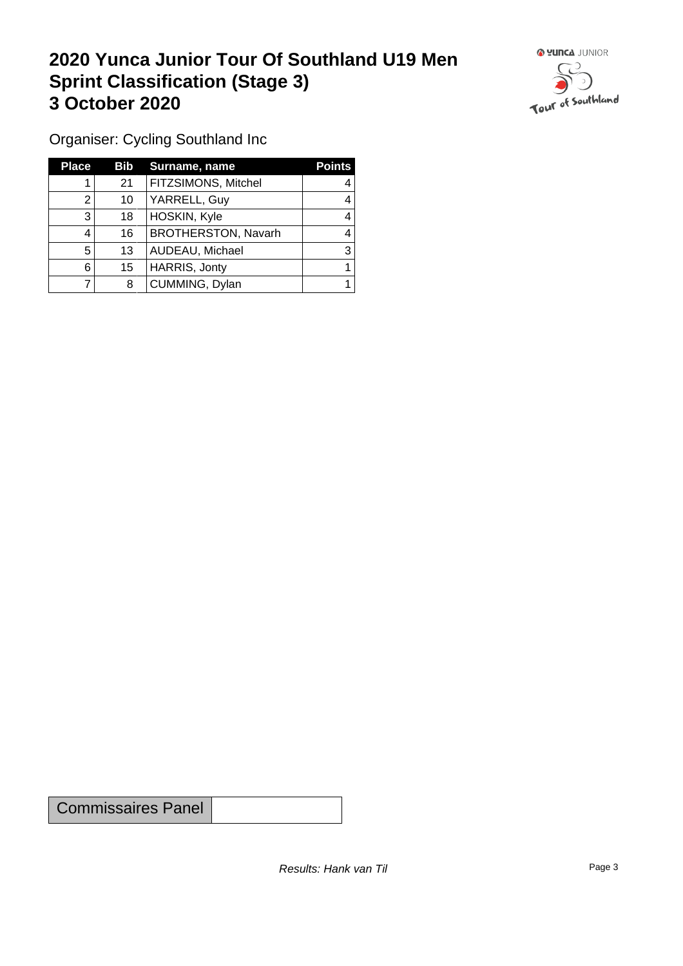## **2020 Yunca Junior Tour Of Southland U19 Men Sprint Classification (Stage 3) 3 October 2020**



Organiser: Cycling Southland Inc

| <b>Place</b> | <b>Bib</b> | Surname, name              | <b>Points</b> |
|--------------|------------|----------------------------|---------------|
|              | 21         | FITZSIMONS, Mitchel        |               |
| ⌒            | 10         | YARRELL, Guy               | 4             |
| 3            | 18         | HOSKIN, Kyle               |               |
| 4            | 16         | <b>BROTHERSTON, Navarh</b> |               |
| 5            | 13         | AUDEAU, Michael            | 3             |
| 6            | 15         | HARRIS, Jonty              |               |
|              | 8          | CUMMING, Dylan             |               |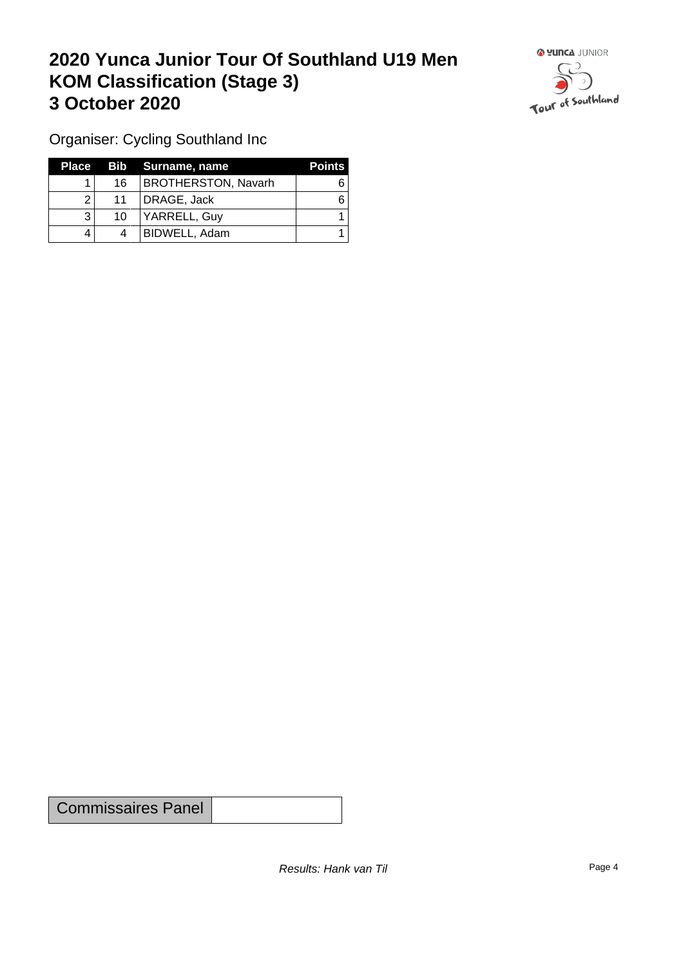## **2020 Yunca Junior Tour Of Southland U19 Men KOM Classification (Stage 3) 3 October 2020**



Organiser: Cycling Southland Inc

| Place |    | Bib Surname, name          | <b>Points</b> |
|-------|----|----------------------------|---------------|
|       | 16 | <b>BROTHERSTON, Navarh</b> |               |
| ົ     | 11 | DRAGE, Jack                |               |
|       | 10 | YARRELL, Guy               |               |
|       | 4  | BIDWELL, Adam              |               |